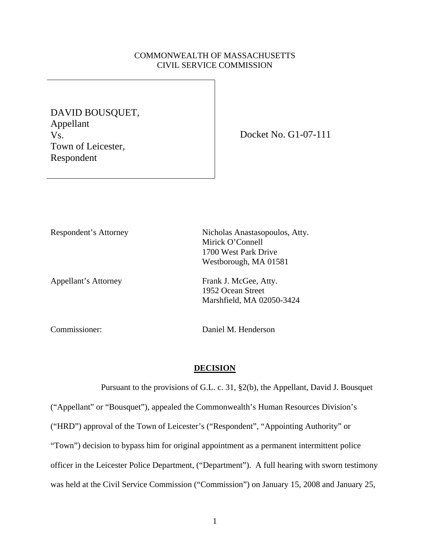# COMMONWEALTH OF MASSACHUSETTS CIVIL SERVICE COMMISSION

DAVID BOUSQUET, Appellant Vs. Town of Leicester, Respondent

Docket No. G1-07-111

Appellant's Attorney Frank J. McGee, Atty.

Respondent's Attorney Nicholas Anastasopoulos, Atty. Mirick O'Connell 1700 West Park Drive Westborough, MA 01581

> 1952 Ocean Street Marshfield, MA 02050-3424

Commissioner: Daniel M. Henderson

#### **DECISION**

 Pursuant to the provisions of G.L. c. 31, §2(b), the Appellant, David J. Bousquet ("Appellant" or "Bousquet"), appealed the Commonwealth's Human Resources Division's ("HRD") approval of the Town of Leicester's ("Respondent", "Appointing Authority" or "Town") decision to bypass him for original appointment as a permanent intermittent police officer in the Leicester Police Department, ("Department"). A full hearing with sworn testimony was held at the Civil Service Commission ("Commission") on January 15, 2008 and January 25,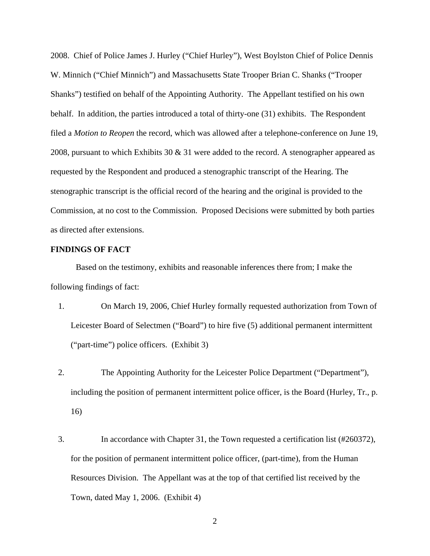2008. Chief of Police James J. Hurley ("Chief Hurley"), West Boylston Chief of Police Dennis W. Minnich ("Chief Minnich") and Massachusetts State Trooper Brian C. Shanks ("Trooper Shanks") testified on behalf of the Appointing Authority. The Appellant testified on his own behalf. In addition, the parties introduced a total of thirty-one (31) exhibits. The Respondent filed a *Motion to Reopen* the record, which was allowed after a telephone-conference on June 19, 2008, pursuant to which Exhibits 30  $\&$  31 were added to the record. A stenographer appeared as requested by the Respondent and produced a stenographic transcript of the Hearing. The stenographic transcript is the official record of the hearing and the original is provided to the Commission, at no cost to the Commission. Proposed Decisions were submitted by both parties as directed after extensions.

## **FINDINGS OF FACT**

 Based on the testimony, exhibits and reasonable inferences there from; I make the following findings of fact:

- 1. On March 19, 2006, Chief Hurley formally requested authorization from Town of Leicester Board of Selectmen ("Board") to hire five (5) additional permanent intermittent ("part-time") police officers. (Exhibit 3)
- 2. The Appointing Authority for the Leicester Police Department ("Department"), including the position of permanent intermittent police officer, is the Board (Hurley, Tr., p. 16)
- 3. In accordance with Chapter 31, the Town requested a certification list (#260372), for the position of permanent intermittent police officer, (part-time), from the Human Resources Division. The Appellant was at the top of that certified list received by the Town, dated May 1, 2006. (Exhibit 4)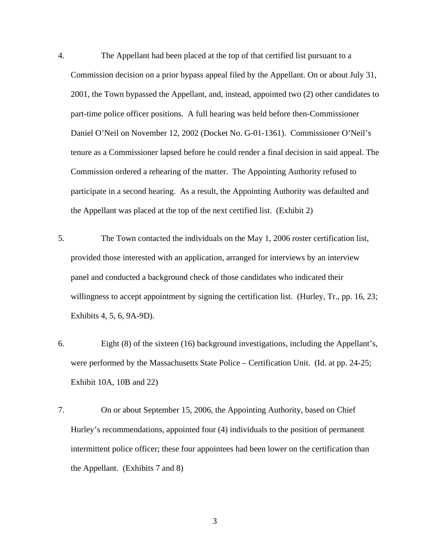4. The Appellant had been placed at the top of that certified list pursuant to a Commission decision on a prior bypass appeal filed by the Appellant. On or about July 31, 2001, the Town bypassed the Appellant, and, instead, appointed two (2) other candidates to part-time police officer positions. A full hearing was held before then-Commissioner Daniel O'Neil on November 12, 2002 (Docket No. G-01-1361). Commissioner O'Neil's tenure as a Commissioner lapsed before he could render a final decision in said appeal. The Commission ordered a rehearing of the matter. The Appointing Authority refused to participate in a second hearing. As a result, the Appointing Authority was defaulted and the Appellant was placed at the top of the next certified list. (Exhibit 2)

- 5. The Town contacted the individuals on the May 1, 2006 roster certification list, provided those interested with an application, arranged for interviews by an interview panel and conducted a background check of those candidates who indicated their willingness to accept appointment by signing the certification list. (Hurley, Tr., pp. 16, 23; Exhibits 4, 5, 6, 9A-9D).
- 6. Eight (8) of the sixteen (16) background investigations, including the Appellant's, were performed by the Massachusetts State Police – Certification Unit. (Id. at pp. 24-25; Exhibit 10A, 10B and 22)
- 7. On or about September 15, 2006, the Appointing Authority, based on Chief Hurley's recommendations, appointed four (4) individuals to the position of permanent intermittent police officer; these four appointees had been lower on the certification than the Appellant. (Exhibits 7 and 8)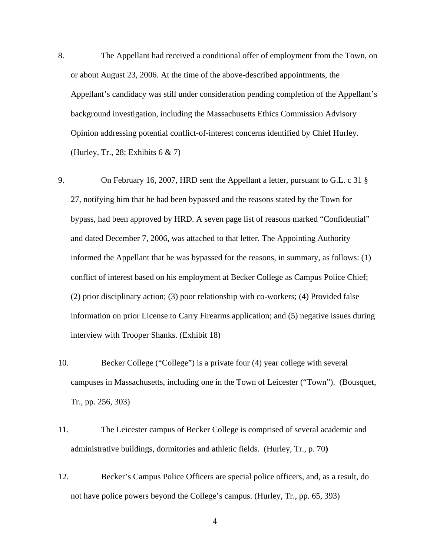8. The Appellant had received a conditional offer of employment from the Town, on or about August 23, 2006. At the time of the above-described appointments, the Appellant's candidacy was still under consideration pending completion of the Appellant's background investigation, including the Massachusetts Ethics Commission Advisory Opinion addressing potential conflict-of-interest concerns identified by Chief Hurley. (Hurley, Tr., 28; Exhibits  $6 \& 7$ )

9. On February 16, 2007, HRD sent the Appellant a letter, pursuant to G.L. c 31 § 27, notifying him that he had been bypassed and the reasons stated by the Town for bypass, had been approved by HRD. A seven page list of reasons marked "Confidential" and dated December 7, 2006, was attached to that letter. The Appointing Authority informed the Appellant that he was bypassed for the reasons, in summary, as follows: (1) conflict of interest based on his employment at Becker College as Campus Police Chief; (2) prior disciplinary action; (3) poor relationship with co-workers; (4) Provided false information on prior License to Carry Firearms application; and (5) negative issues during interview with Trooper Shanks. (Exhibit 18)

- 10. Becker College ("College") is a private four (4) year college with several campuses in Massachusetts, including one in the Town of Leicester ("Town"). (Bousquet, Tr., pp. 256, 303)
- 11. The Leicester campus of Becker College is comprised of several academic and administrative buildings, dormitories and athletic fields. (Hurley, Tr., p. 70**)**
- 12. Becker's Campus Police Officers are special police officers, and, as a result, do not have police powers beyond the College's campus. (Hurley, Tr., pp. 65, 393)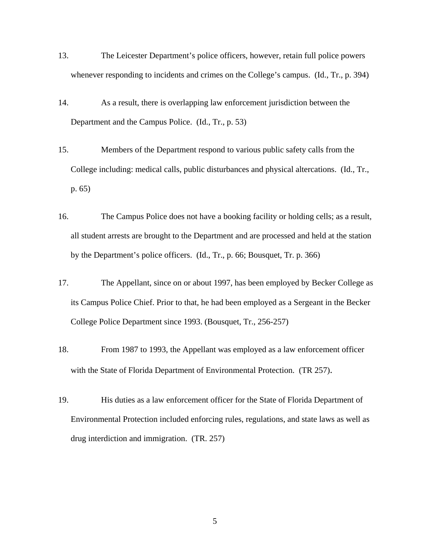- 13. The Leicester Department's police officers, however, retain full police powers whenever responding to incidents and crimes on the College's campus. (Id., Tr., p. 394)
- 14. As a result, there is overlapping law enforcement jurisdiction between the Department and the Campus Police. (Id., Tr., p. 53)
- 15. Members of the Department respond to various public safety calls from the College including: medical calls, public disturbances and physical altercations. (Id., Tr., p. 65)
- 16. The Campus Police does not have a booking facility or holding cells; as a result, all student arrests are brought to the Department and are processed and held at the station by the Department's police officers. (Id., Tr., p. 66; Bousquet, Tr. p. 366)
- 17. The Appellant, since on or about 1997, has been employed by Becker College as its Campus Police Chief. Prior to that, he had been employed as a Sergeant in the Becker College Police Department since 1993. (Bousquet, Tr., 256-257)
- 18. From 1987 to 1993, the Appellant was employed as a law enforcement officer with the State of Florida Department of Environmental Protection. (TR 257).
- 19. His duties as a law enforcement officer for the State of Florida Department of Environmental Protection included enforcing rules, regulations, and state laws as well as drug interdiction and immigration. (TR. 257)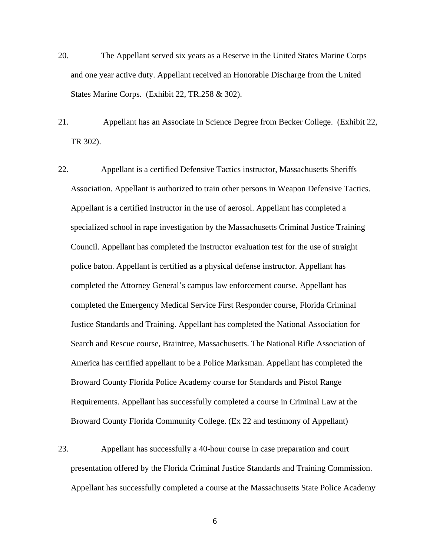- 20. The Appellant served six years as a Reserve in the United States Marine Corps and one year active duty. Appellant received an Honorable Discharge from the United States Marine Corps. (Exhibit 22, TR.258 & 302).
- 21. Appellant has an Associate in Science Degree from Becker College. (Exhibit 22, TR 302).
- 22. Appellant is a certified Defensive Tactics instructor, Massachusetts Sheriffs Association. Appellant is authorized to train other persons in Weapon Defensive Tactics. Appellant is a certified instructor in the use of aerosol. Appellant has completed a specialized school in rape investigation by the Massachusetts Criminal Justice Training Council. Appellant has completed the instructor evaluation test for the use of straight police baton. Appellant is certified as a physical defense instructor. Appellant has completed the Attorney General's campus law enforcement course. Appellant has completed the Emergency Medical Service First Responder course, Florida Criminal Justice Standards and Training. Appellant has completed the National Association for Search and Rescue course, Braintree, Massachusetts. The National Rifle Association of America has certified appellant to be a Police Marksman. Appellant has completed the Broward County Florida Police Academy course for Standards and Pistol Range Requirements. Appellant has successfully completed a course in Criminal Law at the Broward County Florida Community College. (Ex 22 and testimony of Appellant)
- 23. Appellant has successfully a 40-hour course in case preparation and court presentation offered by the Florida Criminal Justice Standards and Training Commission. Appellant has successfully completed a course at the Massachusetts State Police Academy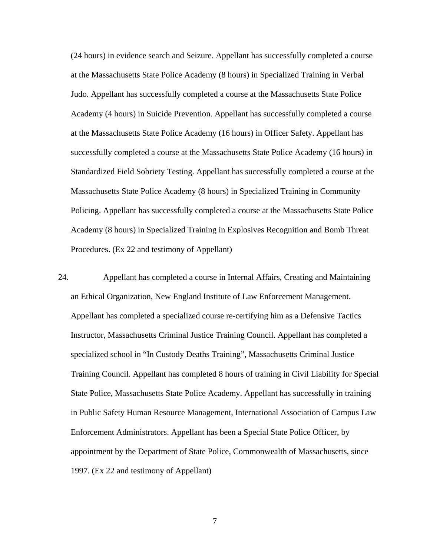(24 hours) in evidence search and Seizure. Appellant has successfully completed a course at the Massachusetts State Police Academy (8 hours) in Specialized Training in Verbal Judo. Appellant has successfully completed a course at the Massachusetts State Police Academy (4 hours) in Suicide Prevention. Appellant has successfully completed a course at the Massachusetts State Police Academy (16 hours) in Officer Safety. Appellant has successfully completed a course at the Massachusetts State Police Academy (16 hours) in Standardized Field Sobriety Testing. Appellant has successfully completed a course at the Massachusetts State Police Academy (8 hours) in Specialized Training in Community Policing. Appellant has successfully completed a course at the Massachusetts State Police Academy (8 hours) in Specialized Training in Explosives Recognition and Bomb Threat Procedures. (Ex 22 and testimony of Appellant)

24. Appellant has completed a course in Internal Affairs, Creating and Maintaining an Ethical Organization, New England Institute of Law Enforcement Management. Appellant has completed a specialized course re-certifying him as a Defensive Tactics Instructor, Massachusetts Criminal Justice Training Council. Appellant has completed a specialized school in "In Custody Deaths Training", Massachusetts Criminal Justice Training Council. Appellant has completed 8 hours of training in Civil Liability for Special State Police, Massachusetts State Police Academy. Appellant has successfully in training in Public Safety Human Resource Management, International Association of Campus Law Enforcement Administrators. Appellant has been a Special State Police Officer, by appointment by the Department of State Police, Commonwealth of Massachusetts, since 1997. (Ex 22 and testimony of Appellant)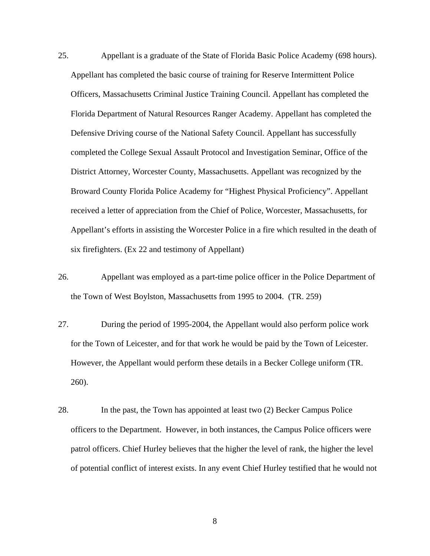- 25. Appellant is a graduate of the State of Florida Basic Police Academy (698 hours). Appellant has completed the basic course of training for Reserve Intermittent Police Officers, Massachusetts Criminal Justice Training Council. Appellant has completed the Florida Department of Natural Resources Ranger Academy. Appellant has completed the Defensive Driving course of the National Safety Council. Appellant has successfully completed the College Sexual Assault Protocol and Investigation Seminar, Office of the District Attorney, Worcester County, Massachusetts. Appellant was recognized by the Broward County Florida Police Academy for "Highest Physical Proficiency". Appellant received a letter of appreciation from the Chief of Police, Worcester, Massachusetts, for Appellant's efforts in assisting the Worcester Police in a fire which resulted in the death of six firefighters. (Ex 22 and testimony of Appellant)
- 26. Appellant was employed as a part-time police officer in the Police Department of the Town of West Boylston, Massachusetts from 1995 to 2004. (TR. 259)
- 27. During the period of 1995-2004, the Appellant would also perform police work for the Town of Leicester, and for that work he would be paid by the Town of Leicester. However, the Appellant would perform these details in a Becker College uniform (TR. 260).
- 28. In the past, the Town has appointed at least two (2) Becker Campus Police officers to the Department. However, in both instances, the Campus Police officers were patrol officers. Chief Hurley believes that the higher the level of rank, the higher the level of potential conflict of interest exists. In any event Chief Hurley testified that he would not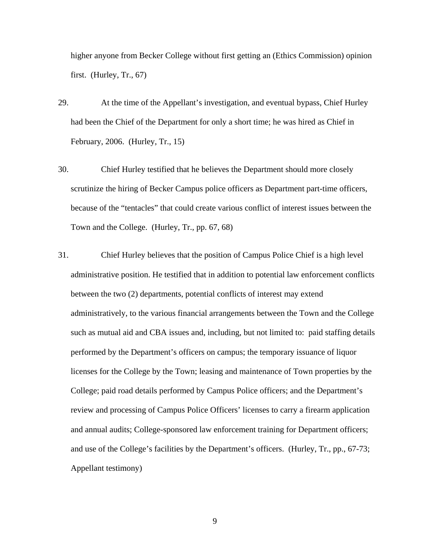higher anyone from Becker College without first getting an (Ethics Commission) opinion first. (Hurley, Tr., 67)

- 29. At the time of the Appellant's investigation, and eventual bypass, Chief Hurley had been the Chief of the Department for only a short time; he was hired as Chief in February, 2006. (Hurley, Tr., 15)
- 30. Chief Hurley testified that he believes the Department should more closely scrutinize the hiring of Becker Campus police officers as Department part-time officers, because of the "tentacles" that could create various conflict of interest issues between the Town and the College. (Hurley, Tr., pp. 67, 68)
- 31. Chief Hurley believes that the position of Campus Police Chief is a high level administrative position. He testified that in addition to potential law enforcement conflicts between the two (2) departments, potential conflicts of interest may extend administratively, to the various financial arrangements between the Town and the College such as mutual aid and CBA issues and, including, but not limited to: paid staffing details performed by the Department's officers on campus; the temporary issuance of liquor licenses for the College by the Town; leasing and maintenance of Town properties by the College; paid road details performed by Campus Police officers; and the Department's review and processing of Campus Police Officers' licenses to carry a firearm application and annual audits; College-sponsored law enforcement training for Department officers; and use of the College's facilities by the Department's officers. (Hurley, Tr., pp., 67-73; Appellant testimony)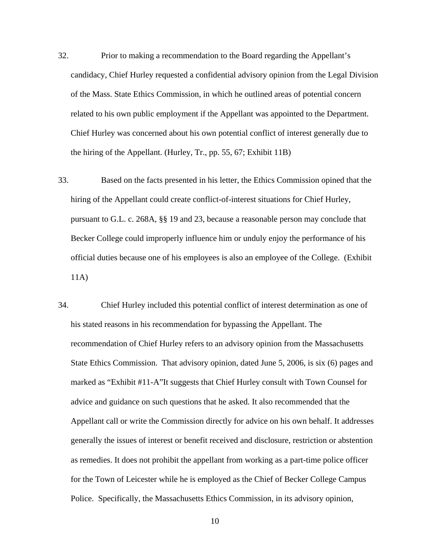- 32. Prior to making a recommendation to the Board regarding the Appellant's candidacy, Chief Hurley requested a confidential advisory opinion from the Legal Division of the Mass. State Ethics Commission, in which he outlined areas of potential concern related to his own public employment if the Appellant was appointed to the Department. Chief Hurley was concerned about his own potential conflict of interest generally due to the hiring of the Appellant. (Hurley, Tr., pp. 55, 67; Exhibit 11B)
- 33. Based on the facts presented in his letter, the Ethics Commission opined that the hiring of the Appellant could create conflict-of-interest situations for Chief Hurley, pursuant to G.L. c. 268A, §§ 19 and 23, because a reasonable person may conclude that Becker College could improperly influence him or unduly enjoy the performance of his official duties because one of his employees is also an employee of the College. (Exhibit 11A)
- 34. Chief Hurley included this potential conflict of interest determination as one of his stated reasons in his recommendation for bypassing the Appellant. The recommendation of Chief Hurley refers to an advisory opinion from the Massachusetts State Ethics Commission. That advisory opinion, dated June 5, 2006, is six (6) pages and marked as "Exhibit #11-A"It suggests that Chief Hurley consult with Town Counsel for advice and guidance on such questions that he asked. It also recommended that the Appellant call or write the Commission directly for advice on his own behalf. It addresses generally the issues of interest or benefit received and disclosure, restriction or abstention as remedies. It does not prohibit the appellant from working as a part-time police officer for the Town of Leicester while he is employed as the Chief of Becker College Campus Police. Specifically, the Massachusetts Ethics Commission, in its advisory opinion,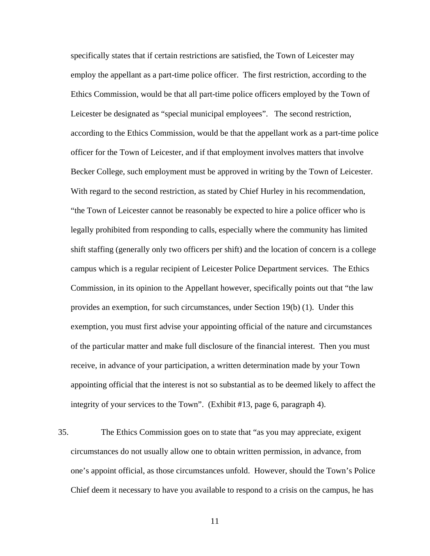specifically states that if certain restrictions are satisfied, the Town of Leicester may employ the appellant as a part-time police officer. The first restriction, according to the Ethics Commission, would be that all part-time police officers employed by the Town of Leicester be designated as "special municipal employees". The second restriction, according to the Ethics Commission, would be that the appellant work as a part-time police officer for the Town of Leicester, and if that employment involves matters that involve Becker College, such employment must be approved in writing by the Town of Leicester. With regard to the second restriction, as stated by Chief Hurley in his recommendation, "the Town of Leicester cannot be reasonably be expected to hire a police officer who is legally prohibited from responding to calls, especially where the community has limited shift staffing (generally only two officers per shift) and the location of concern is a college campus which is a regular recipient of Leicester Police Department services. The Ethics Commission, in its opinion to the Appellant however, specifically points out that "the law provides an exemption, for such circumstances, under Section 19(b) (1). Under this exemption, you must first advise your appointing official of the nature and circumstances of the particular matter and make full disclosure of the financial interest. Then you must receive, in advance of your participation, a written determination made by your Town appointing official that the interest is not so substantial as to be deemed likely to affect the integrity of your services to the Town". (Exhibit #13, page 6, paragraph 4).

35. The Ethics Commission goes on to state that "as you may appreciate, exigent circumstances do not usually allow one to obtain written permission, in advance, from one's appoint official, as those circumstances unfold. However, should the Town's Police Chief deem it necessary to have you available to respond to a crisis on the campus, he has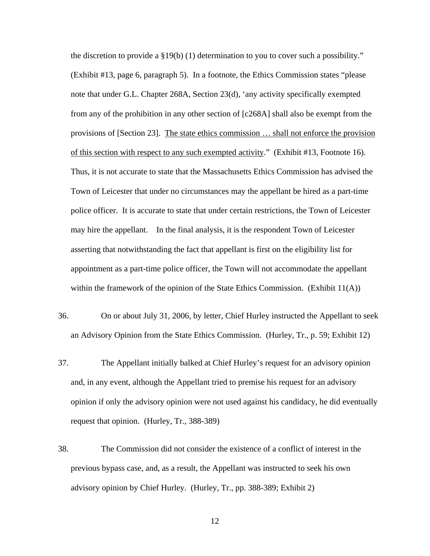the discretion to provide a  $\S19(b)$  (1) determination to you to cover such a possibility." (Exhibit #13, page 6, paragraph 5). In a footnote, the Ethics Commission states "please note that under G.L. Chapter 268A, Section 23(d), 'any activity specifically exempted from any of the prohibition in any other section of [c268A] shall also be exempt from the provisions of [Section 23]. The state ethics commission … shall not enforce the provision of this section with respect to any such exempted activity." (Exhibit #13, Footnote 16). Thus, it is not accurate to state that the Massachusetts Ethics Commission has advised the Town of Leicester that under no circumstances may the appellant be hired as a part-time police officer. It is accurate to state that under certain restrictions, the Town of Leicester may hire the appellant. In the final analysis, it is the respondent Town of Leicester asserting that notwithstanding the fact that appellant is first on the eligibility list for appointment as a part-time police officer, the Town will not accommodate the appellant within the framework of the opinion of the State Ethics Commission. (Exhibit 11(A))

- 36. On or about July 31, 2006, by letter, Chief Hurley instructed the Appellant to seek an Advisory Opinion from the State Ethics Commission. (Hurley, Tr., p. 59; Exhibit 12)
- 37. The Appellant initially balked at Chief Hurley's request for an advisory opinion and, in any event, although the Appellant tried to premise his request for an advisory opinion if only the advisory opinion were not used against his candidacy, he did eventually request that opinion. (Hurley, Tr., 388-389)
- 38. The Commission did not consider the existence of a conflict of interest in the previous bypass case, and, as a result, the Appellant was instructed to seek his own advisory opinion by Chief Hurley. (Hurley, Tr., pp. 388-389; Exhibit 2)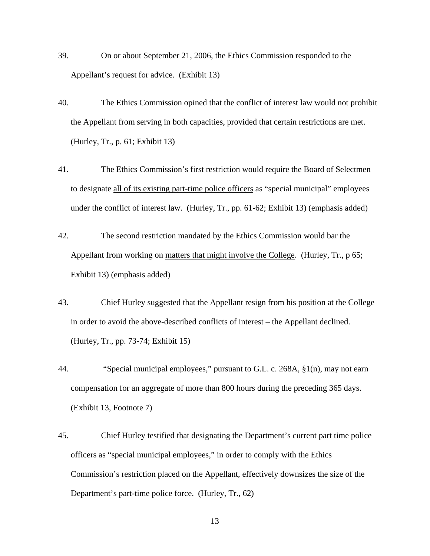- 39. On or about September 21, 2006, the Ethics Commission responded to the Appellant's request for advice. (Exhibit 13)
- 40. The Ethics Commission opined that the conflict of interest law would not prohibit the Appellant from serving in both capacities, provided that certain restrictions are met. (Hurley, Tr., p. 61; Exhibit 13)
- 41. The Ethics Commission's first restriction would require the Board of Selectmen to designate all of its existing part-time police officers as "special municipal" employees under the conflict of interest law. (Hurley, Tr., pp. 61-62; Exhibit 13) (emphasis added)
- 42. The second restriction mandated by the Ethics Commission would bar the Appellant from working on matters that might involve the College. (Hurley, Tr., p 65; Exhibit 13) (emphasis added)
- 43. Chief Hurley suggested that the Appellant resign from his position at the College in order to avoid the above-described conflicts of interest – the Appellant declined. (Hurley, Tr., pp. 73-74; Exhibit 15)
- 44. "Special municipal employees," pursuant to G.L. c. 268A, §1(n), may not earn compensation for an aggregate of more than 800 hours during the preceding 365 days. (Exhibit 13, Footnote 7)
- 45. Chief Hurley testified that designating the Department's current part time police officers as "special municipal employees," in order to comply with the Ethics Commission's restriction placed on the Appellant, effectively downsizes the size of the Department's part-time police force. (Hurley, Tr., 62)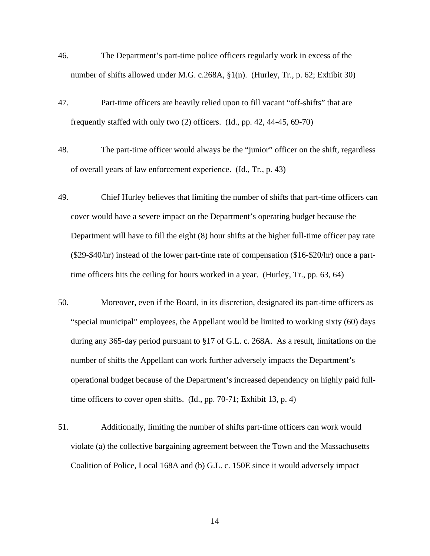- 46. The Department's part-time police officers regularly work in excess of the number of shifts allowed under M.G. c.268A, §1(n). (Hurley, Tr., p. 62; Exhibit 30)
- 47. Part-time officers are heavily relied upon to fill vacant "off-shifts" that are frequently staffed with only two (2) officers. (Id., pp. 42, 44-45, 69-70)
- 48. The part-time officer would always be the "junior" officer on the shift, regardless of overall years of law enforcement experience. (Id., Tr., p. 43)
- 49. Chief Hurley believes that limiting the number of shifts that part-time officers can cover would have a severe impact on the Department's operating budget because the Department will have to fill the eight (8) hour shifts at the higher full-time officer pay rate (\$29-\$40/hr) instead of the lower part-time rate of compensation (\$16-\$20/hr) once a parttime officers hits the ceiling for hours worked in a year. (Hurley, Tr., pp. 63, 64)
- 50. Moreover, even if the Board, in its discretion, designated its part-time officers as "special municipal" employees, the Appellant would be limited to working sixty (60) days during any 365-day period pursuant to §17 of G.L. c. 268A. As a result, limitations on the number of shifts the Appellant can work further adversely impacts the Department's operational budget because of the Department's increased dependency on highly paid fulltime officers to cover open shifts. (Id., pp. 70-71; Exhibit 13, p. 4)
- 51. Additionally, limiting the number of shifts part-time officers can work would violate (a) the collective bargaining agreement between the Town and the Massachusetts Coalition of Police, Local 168A and (b) G.L. c. 150E since it would adversely impact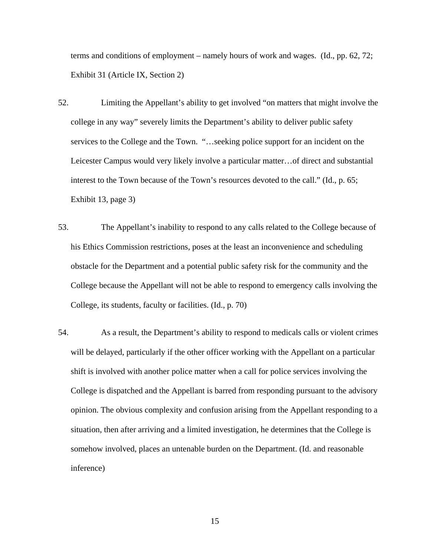terms and conditions of employment – namely hours of work and wages. (Id., pp. 62, 72; Exhibit 31 (Article IX, Section 2)

- 52. Limiting the Appellant's ability to get involved "on matters that might involve the college in any way" severely limits the Department's ability to deliver public safety services to the College and the Town. "…seeking police support for an incident on the Leicester Campus would very likely involve a particular matter…of direct and substantial interest to the Town because of the Town's resources devoted to the call." (Id., p. 65; Exhibit 13, page 3)
- 53. The Appellant's inability to respond to any calls related to the College because of his Ethics Commission restrictions, poses at the least an inconvenience and scheduling obstacle for the Department and a potential public safety risk for the community and the College because the Appellant will not be able to respond to emergency calls involving the College, its students, faculty or facilities. (Id., p. 70)
- 54. As a result, the Department's ability to respond to medicals calls or violent crimes will be delayed, particularly if the other officer working with the Appellant on a particular shift is involved with another police matter when a call for police services involving the College is dispatched and the Appellant is barred from responding pursuant to the advisory opinion. The obvious complexity and confusion arising from the Appellant responding to a situation, then after arriving and a limited investigation, he determines that the College is somehow involved, places an untenable burden on the Department. (Id. and reasonable inference)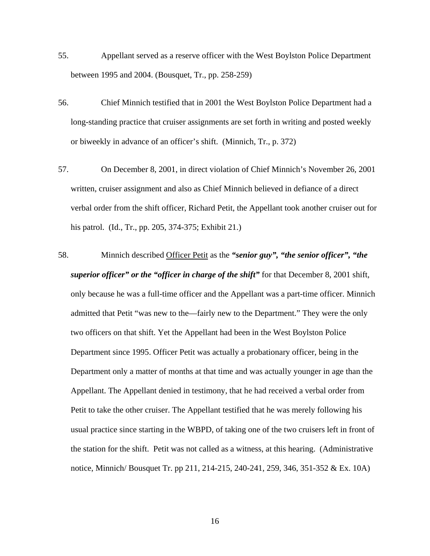- 55. Appellant served as a reserve officer with the West Boylston Police Department between 1995 and 2004. (Bousquet, Tr., pp. 258-259)
- 56. Chief Minnich testified that in 2001 the West Boylston Police Department had a long-standing practice that cruiser assignments are set forth in writing and posted weekly or biweekly in advance of an officer's shift. (Minnich, Tr., p. 372)
- 57. On December 8, 2001, in direct violation of Chief Minnich's November 26, 2001 written, cruiser assignment and also as Chief Minnich believed in defiance of a direct verbal order from the shift officer, Richard Petit, the Appellant took another cruiser out for his patrol. (Id., Tr., pp. 205, 374-375; Exhibit 21.)
- 58. Minnich described Officer Petit as the *"senior guy", "the senior officer", "the superior officer" or the "officer in charge of the shift"* for that December 8, 2001 shift, only because he was a full-time officer and the Appellant was a part-time officer. Minnich admitted that Petit "was new to the—fairly new to the Department." They were the only two officers on that shift. Yet the Appellant had been in the West Boylston Police Department since 1995. Officer Petit was actually a probationary officer, being in the Department only a matter of months at that time and was actually younger in age than the Appellant. The Appellant denied in testimony, that he had received a verbal order from Petit to take the other cruiser. The Appellant testified that he was merely following his usual practice since starting in the WBPD, of taking one of the two cruisers left in front of the station for the shift. Petit was not called as a witness, at this hearing. (Administrative notice, Minnich/ Bousquet Tr. pp 211, 214-215, 240-241, 259, 346, 351-352 & Ex. 10A)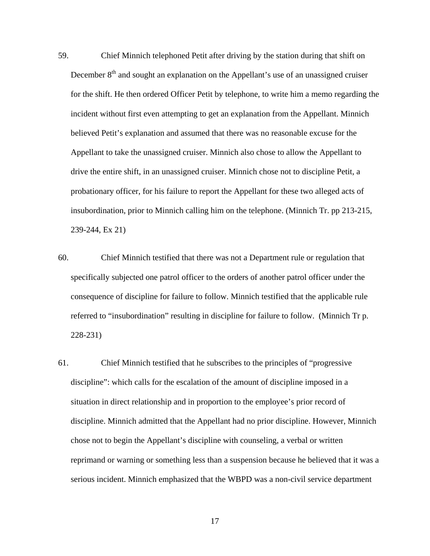- 59. Chief Minnich telephoned Petit after driving by the station during that shift on December  $8<sup>th</sup>$  and sought an explanation on the Appellant's use of an unassigned cruiser for the shift. He then ordered Officer Petit by telephone, to write him a memo regarding the incident without first even attempting to get an explanation from the Appellant. Minnich believed Petit's explanation and assumed that there was no reasonable excuse for the Appellant to take the unassigned cruiser. Minnich also chose to allow the Appellant to drive the entire shift, in an unassigned cruiser. Minnich chose not to discipline Petit, a probationary officer, for his failure to report the Appellant for these two alleged acts of insubordination, prior to Minnich calling him on the telephone. (Minnich Tr. pp 213-215, 239-244, Ex 21)
- 60. Chief Minnich testified that there was not a Department rule or regulation that specifically subjected one patrol officer to the orders of another patrol officer under the consequence of discipline for failure to follow. Minnich testified that the applicable rule referred to "insubordination" resulting in discipline for failure to follow. (Minnich Tr p. 228-231)
- 61. Chief Minnich testified that he subscribes to the principles of "progressive discipline": which calls for the escalation of the amount of discipline imposed in a situation in direct relationship and in proportion to the employee's prior record of discipline. Minnich admitted that the Appellant had no prior discipline. However, Minnich chose not to begin the Appellant's discipline with counseling, a verbal or written reprimand or warning or something less than a suspension because he believed that it was a serious incident. Minnich emphasized that the WBPD was a non-civil service department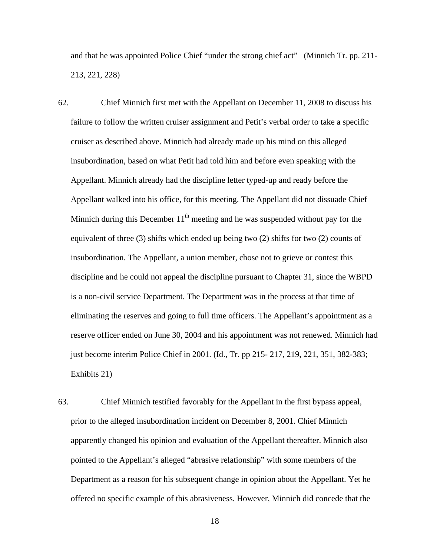and that he was appointed Police Chief "under the strong chief act" (Minnich Tr. pp. 211- 213, 221, 228)

- 62. Chief Minnich first met with the Appellant on December 11, 2008 to discuss his failure to follow the written cruiser assignment and Petit's verbal order to take a specific cruiser as described above. Minnich had already made up his mind on this alleged insubordination, based on what Petit had told him and before even speaking with the Appellant. Minnich already had the discipline letter typed-up and ready before the Appellant walked into his office, for this meeting. The Appellant did not dissuade Chief Minnich during this December  $11<sup>th</sup>$  meeting and he was suspended without pay for the equivalent of three (3) shifts which ended up being two (2) shifts for two (2) counts of insubordination. The Appellant, a union member, chose not to grieve or contest this discipline and he could not appeal the discipline pursuant to Chapter 31, since the WBPD is a non-civil service Department. The Department was in the process at that time of eliminating the reserves and going to full time officers. The Appellant's appointment as a reserve officer ended on June 30, 2004 and his appointment was not renewed. Minnich had just become interim Police Chief in 2001. (Id., Tr. pp 215- 217, 219, 221, 351, 382-383; Exhibits 21)
- 63. Chief Minnich testified favorably for the Appellant in the first bypass appeal, prior to the alleged insubordination incident on December 8, 2001. Chief Minnich apparently changed his opinion and evaluation of the Appellant thereafter. Minnich also pointed to the Appellant's alleged "abrasive relationship" with some members of the Department as a reason for his subsequent change in opinion about the Appellant. Yet he offered no specific example of this abrasiveness. However, Minnich did concede that the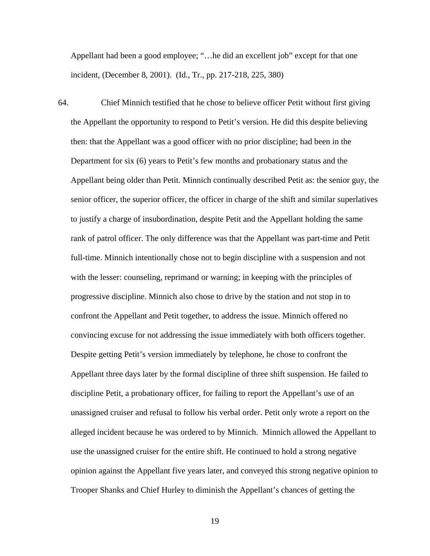Appellant had been a good employee; "…he did an excellent job" except for that one incident, (December 8, 2001). (Id., Tr., pp. 217-218, 225, 380)

64. Chief Minnich testified that he chose to believe officer Petit without first giving the Appellant the opportunity to respond to Petit's version. He did this despite believing then: that the Appellant was a good officer with no prior discipline; had been in the Department for six (6) years to Petit's few months and probationary status and the Appellant being older than Petit. Minnich continually described Petit as: the senior guy, the senior officer, the superior officer, the officer in charge of the shift and similar superlatives to justify a charge of insubordination, despite Petit and the Appellant holding the same rank of patrol officer. The only difference was that the Appellant was part-time and Petit full-time. Minnich intentionally chose not to begin discipline with a suspension and not with the lesser: counseling, reprimand or warning; in keeping with the principles of progressive discipline. Minnich also chose to drive by the station and not stop in to confront the Appellant and Petit together, to address the issue. Minnich offered no convincing excuse for not addressing the issue immediately with both officers together. Despite getting Petit's version immediately by telephone, he chose to confront the Appellant three days later by the formal discipline of three shift suspension. He failed to discipline Petit, a probationary officer, for failing to report the Appellant's use of an unassigned cruiser and refusal to follow his verbal order. Petit only wrote a report on the alleged incident because he was ordered to by Minnich. Minnich allowed the Appellant to use the unassigned cruiser for the entire shift. He continued to hold a strong negative opinion against the Appellant five years later, and conveyed this strong negative opinion to Trooper Shanks and Chief Hurley to diminish the Appellant's chances of getting the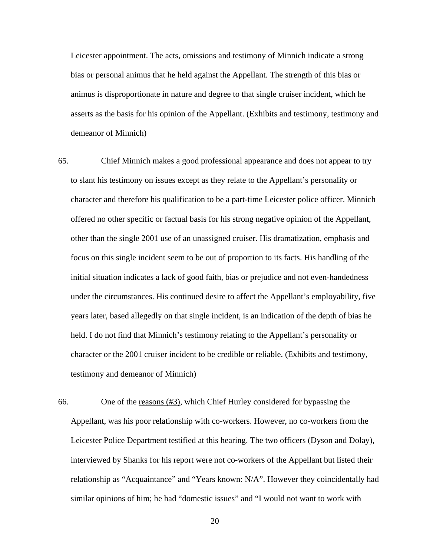Leicester appointment. The acts, omissions and testimony of Minnich indicate a strong bias or personal animus that he held against the Appellant. The strength of this bias or animus is disproportionate in nature and degree to that single cruiser incident, which he asserts as the basis for his opinion of the Appellant. (Exhibits and testimony, testimony and demeanor of Minnich)

- 65. Chief Minnich makes a good professional appearance and does not appear to try to slant his testimony on issues except as they relate to the Appellant's personality or character and therefore his qualification to be a part-time Leicester police officer. Minnich offered no other specific or factual basis for his strong negative opinion of the Appellant, other than the single 2001 use of an unassigned cruiser. His dramatization, emphasis and focus on this single incident seem to be out of proportion to its facts. His handling of the initial situation indicates a lack of good faith, bias or prejudice and not even-handedness under the circumstances. His continued desire to affect the Appellant's employability, five years later, based allegedly on that single incident, is an indication of the depth of bias he held. I do not find that Minnich's testimony relating to the Appellant's personality or character or the 2001 cruiser incident to be credible or reliable. (Exhibits and testimony, testimony and demeanor of Minnich)
- 66. One of the reasons (#3), which Chief Hurley considered for bypassing the Appellant, was his poor relationship with co-workers. However, no co-workers from the Leicester Police Department testified at this hearing. The two officers (Dyson and Dolay), interviewed by Shanks for his report were not co-workers of the Appellant but listed their relationship as "Acquaintance" and "Years known: N/A". However they coincidentally had similar opinions of him; he had "domestic issues" and "I would not want to work with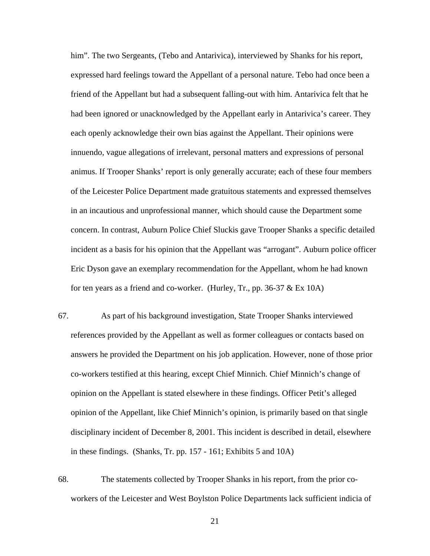him". The two Sergeants, (Tebo and Antarivica), interviewed by Shanks for his report, expressed hard feelings toward the Appellant of a personal nature. Tebo had once been a friend of the Appellant but had a subsequent falling-out with him. Antarivica felt that he had been ignored or unacknowledged by the Appellant early in Antarivica's career. They each openly acknowledge their own bias against the Appellant. Their opinions were innuendo, vague allegations of irrelevant, personal matters and expressions of personal animus. If Trooper Shanks' report is only generally accurate; each of these four members of the Leicester Police Department made gratuitous statements and expressed themselves in an incautious and unprofessional manner, which should cause the Department some concern. In contrast, Auburn Police Chief Sluckis gave Trooper Shanks a specific detailed incident as a basis for his opinion that the Appellant was "arrogant". Auburn police officer Eric Dyson gave an exemplary recommendation for the Appellant, whom he had known for ten years as a friend and co-worker. (Hurley, Tr., pp.  $36-37 \& Ex 10A$ )

- 67. As part of his background investigation, State Trooper Shanks interviewed references provided by the Appellant as well as former colleagues or contacts based on answers he provided the Department on his job application. However, none of those prior co-workers testified at this hearing, except Chief Minnich. Chief Minnich's change of opinion on the Appellant is stated elsewhere in these findings. Officer Petit's alleged opinion of the Appellant, like Chief Minnich's opinion, is primarily based on that single disciplinary incident of December 8, 2001. This incident is described in detail, elsewhere in these findings. (Shanks, Tr. pp. 157 - 161; Exhibits 5 and 10A)
- 68. The statements collected by Trooper Shanks in his report, from the prior coworkers of the Leicester and West Boylston Police Departments lack sufficient indicia of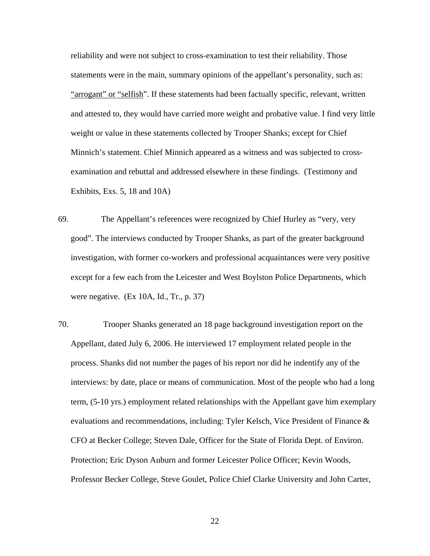reliability and were not subject to cross-examination to test their reliability. Those statements were in the main, summary opinions of the appellant's personality, such as: "arrogant" or "selfish". If these statements had been factually specific, relevant, written and attested to, they would have carried more weight and probative value. I find very little weight or value in these statements collected by Trooper Shanks; except for Chief Minnich's statement. Chief Minnich appeared as a witness and was subjected to crossexamination and rebuttal and addressed elsewhere in these findings. (Testimony and Exhibits, Exs. 5, 18 and 10A)

- 69. The Appellant's references were recognized by Chief Hurley as "very, very good". The interviews conducted by Trooper Shanks, as part of the greater background investigation, with former co-workers and professional acquaintances were very positive except for a few each from the Leicester and West Boylston Police Departments, which were negative. (Ex 10A, Id., Tr., p. 37)
- 70. Trooper Shanks generated an 18 page background investigation report on the Appellant, dated July 6, 2006. He interviewed 17 employment related people in the process. Shanks did not number the pages of his report nor did he indentify any of the interviews: by date, place or means of communication. Most of the people who had a long term, (5-10 yrs.) employment related relationships with the Appellant gave him exemplary evaluations and recommendations, including: Tyler Kelsch, Vice President of Finance & CFO at Becker College; Steven Dale, Officer for the State of Florida Dept. of Environ. Protection; Eric Dyson Auburn and former Leicester Police Officer; Kevin Woods, Professor Becker College, Steve Goulet, Police Chief Clarke University and John Carter,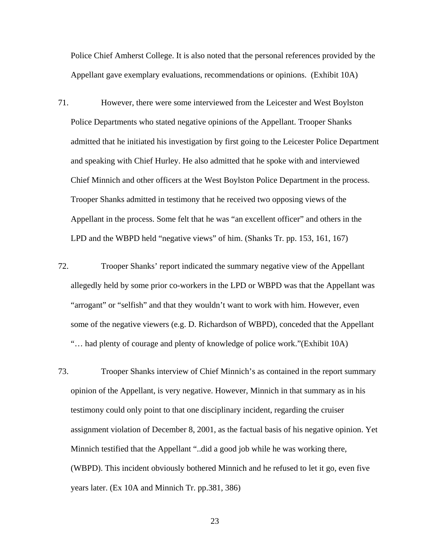Police Chief Amherst College. It is also noted that the personal references provided by the Appellant gave exemplary evaluations, recommendations or opinions. (Exhibit 10A)

- 71. However, there were some interviewed from the Leicester and West Boylston Police Departments who stated negative opinions of the Appellant. Trooper Shanks admitted that he initiated his investigation by first going to the Leicester Police Department and speaking with Chief Hurley. He also admitted that he spoke with and interviewed Chief Minnich and other officers at the West Boylston Police Department in the process. Trooper Shanks admitted in testimony that he received two opposing views of the Appellant in the process. Some felt that he was "an excellent officer" and others in the LPD and the WBPD held "negative views" of him. (Shanks Tr. pp. 153, 161, 167)
- 72. Trooper Shanks' report indicated the summary negative view of the Appellant allegedly held by some prior co-workers in the LPD or WBPD was that the Appellant was "arrogant" or "selfish" and that they wouldn't want to work with him. However, even some of the negative viewers (e.g. D. Richardson of WBPD), conceded that the Appellant "… had plenty of courage and plenty of knowledge of police work."(Exhibit 10A)
- 73. Trooper Shanks interview of Chief Minnich's as contained in the report summary opinion of the Appellant, is very negative. However, Minnich in that summary as in his testimony could only point to that one disciplinary incident, regarding the cruiser assignment violation of December 8, 2001, as the factual basis of his negative opinion. Yet Minnich testified that the Appellant "..did a good job while he was working there, (WBPD). This incident obviously bothered Minnich and he refused to let it go, even five years later. (Ex 10A and Minnich Tr. pp.381, 386)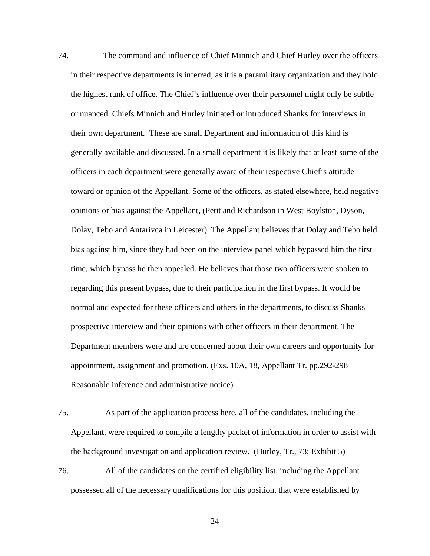74. The command and influence of Chief Minnich and Chief Hurley over the officers in their respective departments is inferred, as it is a paramilitary organization and they hold the highest rank of office. The Chief's influence over their personnel might only be subtle or nuanced. Chiefs Minnich and Hurley initiated or introduced Shanks for interviews in their own department. These are small Department and information of this kind is generally available and discussed. In a small department it is likely that at least some of the officers in each department were generally aware of their respective Chief's attitude toward or opinion of the Appellant. Some of the officers, as stated elsewhere, held negative opinions or bias against the Appellant, (Petit and Richardson in West Boylston, Dyson, Dolay, Tebo and Antarivca in Leicester). The Appellant believes that Dolay and Tebo held bias against him, since they had been on the interview panel which bypassed him the first time, which bypass he then appealed. He believes that those two officers were spoken to regarding this present bypass, due to their participation in the first bypass. It would be normal and expected for these officers and others in the departments, to discuss Shanks prospective interview and their opinions with other officers in their department. The Department members were and are concerned about their own careers and opportunity for appointment, assignment and promotion. (Exs. 10A, 18, Appellant Tr. pp.292-298 Reasonable inference and administrative notice)

- 75. As part of the application process here, all of the candidates, including the Appellant, were required to compile a lengthy packet of information in order to assist with the background investigation and application review. (Hurley, Tr., 73; Exhibit 5)
- 76. All of the candidates on the certified eligibility list, including the Appellant possessed all of the necessary qualifications for this position, that were established by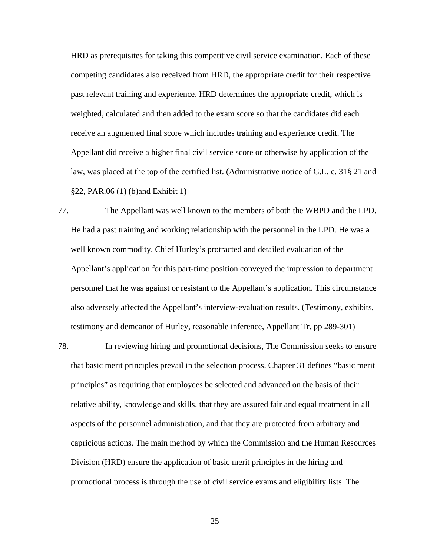HRD as prerequisites for taking this competitive civil service examination. Each of these competing candidates also received from HRD, the appropriate credit for their respective past relevant training and experience. HRD determines the appropriate credit, which is weighted, calculated and then added to the exam score so that the candidates did each receive an augmented final score which includes training and experience credit. The Appellant did receive a higher final civil service score or otherwise by application of the law, was placed at the top of the certified list. (Administrative notice of G.L. c. 31§ 21 and §22, PAR.06 (1) (b)and Exhibit 1)

77. The Appellant was well known to the members of both the WBPD and the LPD. He had a past training and working relationship with the personnel in the LPD. He was a well known commodity. Chief Hurley's protracted and detailed evaluation of the Appellant's application for this part-time position conveyed the impression to department personnel that he was against or resistant to the Appellant's application. This circumstance also adversely affected the Appellant's interview-evaluation results. (Testimony, exhibits, testimony and demeanor of Hurley, reasonable inference, Appellant Tr. pp 289-301)

78. In reviewing hiring and promotional decisions, The Commission seeks to ensure that basic merit principles prevail in the selection process. Chapter 31 defines "basic merit principles" as requiring that employees be selected and advanced on the basis of their relative ability, knowledge and skills, that they are assured fair and equal treatment in all aspects of the personnel administration, and that they are protected from arbitrary and capricious actions. The main method by which the Commission and the Human Resources Division (HRD) ensure the application of basic merit principles in the hiring and promotional process is through the use of civil service exams and eligibility lists. The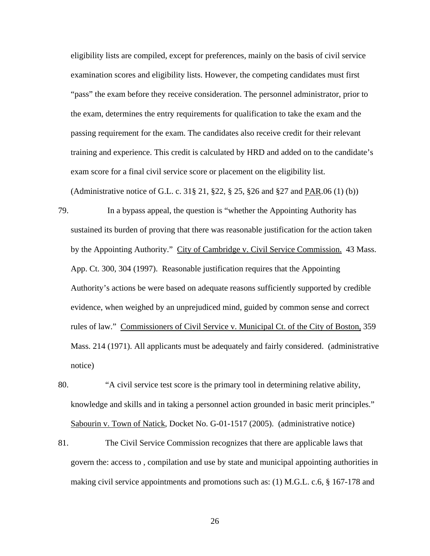eligibility lists are compiled, except for preferences, mainly on the basis of civil service examination scores and eligibility lists. However, the competing candidates must first "pass" the exam before they receive consideration. The personnel administrator, prior to the exam, determines the entry requirements for qualification to take the exam and the passing requirement for the exam. The candidates also receive credit for their relevant training and experience. This credit is calculated by HRD and added on to the candidate's exam score for a final civil service score or placement on the eligibility list.

(Administrative notice of G.L. c. 31§ 21, §22, § 25, §26 and §27 and PAR.06 (1) (b))

- 79. In a bypass appeal, the question is "whether the Appointing Authority has sustained its burden of proving that there was reasonable justification for the action taken by the Appointing Authority." City of Cambridge v. Civil Service Commission. 43 Mass. App. Ct. 300, 304 (1997). Reasonable justification requires that the Appointing Authority's actions be were based on adequate reasons sufficiently supported by credible evidence, when weighed by an unprejudiced mind, guided by common sense and correct rules of law." Commissioners of Civil Service v. Municipal Ct. of the City of Boston, 359 Mass. 214 (1971). All applicants must be adequately and fairly considered. (administrative notice)
- 80. "A civil service test score is the primary tool in determining relative ability, knowledge and skills and in taking a personnel action grounded in basic merit principles." Sabourin v. Town of Natick, Docket No. G-01-1517 (2005). (administrative notice)
- 81. The Civil Service Commission recognizes that there are applicable laws that govern the: access to , compilation and use by state and municipal appointing authorities in making civil service appointments and promotions such as: (1) M.G.L. c.6, § 167-178 and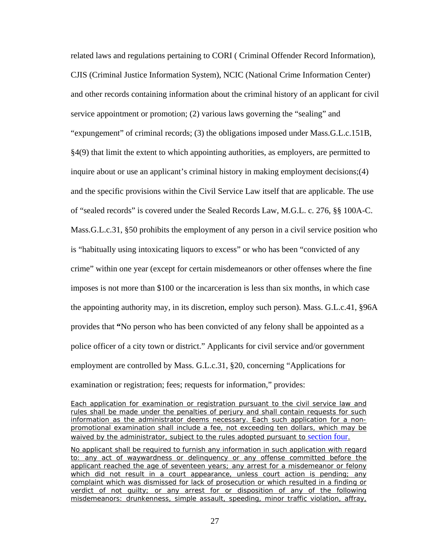related laws and regulations pertaining to CORI ( Criminal Offender Record Information), CJIS (Criminal Justice Information System), NCIC (National Crime Information Center) and other records containing information about the criminal history of an applicant for civil service appointment or promotion; (2) various laws governing the "sealing" and "expungement" of criminal records; (3) the obligations imposed under Mass.G.L.c.151B, §4(9) that limit the extent to which appointing authorities, as employers, are permitted to inquire about or use an applicant's criminal history in making employment decisions;(4) and the specific provisions within the Civil Service Law itself that are applicable. The use of "sealed records" is covered under the Sealed Records Law, M.G.L. c. 276, §§ 100A-C. Mass.G.L.c.31, §50 prohibits the employment of any person in a civil service position who is "habitually using intoxicating liquors to excess" or who has been "convicted of any crime" within one year (except for certain misdemeanors or other offenses where the fine imposes is not more than \$100 or the incarceration is less than six months, in which case the appointing authority may, in its discretion, employ such person). Mass. G.L.c.41, §96A provides that **"**No person who has been convicted of any felony shall be appointed as a police officer of a city town or district." Applicants for civil service and/or government employment are controlled by Mass. G.L.c.31, §20, concerning "Applications for examination or registration; fees; requests for information," provides:

*Each application for examination or registration pursuant to the civil service law and rules shall be made under the penalties of perjury and shall contain requests for such information as the administrator deems necessary*. Each such application for a nonpromotional examination shall include a fee, not exceeding ten dollars, which may be waived by the administrator, subject to the rules adopted pursuant to [section four](http://web2.westlaw.com/find/default.wl?tf=-1&rs=WLW8.11&ifm=NotSet&fn=_top&sv=Split&tc=-1&docname=MAST31S4&ordoc=1529765&findtype=L&db=1000042&utid=1&vr=2.0&rp=%2ffind%2fdefault.wl&mt=Massachusetts).

*No applicant shall be required to furnish any information in such application with regard to: any act of waywardness or delinguency or any offense committed before the applicant reached the age of seventeen years; any arrest for a misdemeanor or felony which did not result in a court appearance, unless court action is pending; any complaint which was dismissed for lack of prosecution or which resulted in a finding or verdict of not guilty; or any arrest for or disposition of any of the following misdemeanors: drunkenness, simple assault, speeding, minor traffic violation, affray,*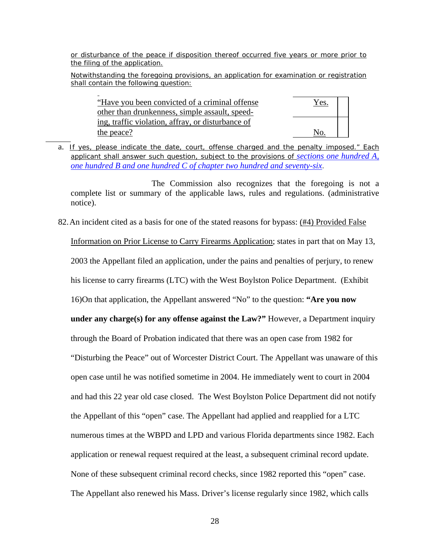*or disturbance of the peace if disposition thereof occurred five years or more prior to the filing of the application.*

*Notwithstanding the foregoing provisions, an application for examination or registration shall contain the following question*:

"Have you been convicted of a criminal offense Yes. other than drunkenness, simple assault, speeding, traffic violation, affray, or disturbance of the peace?

a. *If yes, please indicate the date, court, offense charged and the penalty imposed." Each applicant shall answer such question, subject to the provisions of [sections one hundred A,](http://web2.westlaw.com/find/default.wl?tf=-1&rs=WLW8.11&ifm=NotSet&fn=_top&sv=Split&tc=-1&docname=MAST276S100&ordoc=1529765&findtype=L&db=1000042&utid=1&vr=2.0&rp=%2ffind%2fdefault.wl&mt=Massachusetts)  [one hundred B and one hundred C of chapter two hundred and seventy-six](http://web2.westlaw.com/find/default.wl?tf=-1&rs=WLW8.11&ifm=NotSet&fn=_top&sv=Split&tc=-1&docname=MAST276S100&ordoc=1529765&findtype=L&db=1000042&utid=1&vr=2.0&rp=%2ffind%2fdefault.wl&mt=Massachusetts)*.

 The Commission also recognizes that the foregoing is not a complete list or summary of the applicable laws, rules and regulations. (administrative notice).

82.An incident cited as a basis for one of the stated reasons for bypass: (#4) Provided False

Information on Prior License to Carry Firearms Application; states in part that on May 13, 2003 the Appellant filed an application, under the pains and penalties of perjury, to renew his license to carry firearms (LTC) with the West Boylston Police Department. (Exhibit 16)On that application, the Appellant answered "No" to the question: **"Are you now under any charge(s) for any offense against the Law?"** However, a Department inquiry through the Board of Probation indicated that there was an open case from 1982 for "Disturbing the Peace" out of Worcester District Court. The Appellant was unaware of this open case until he was notified sometime in 2004. He immediately went to court in 2004 and had this 22 year old case closed. The West Boylston Police Department did not notify the Appellant of this "open" case. The Appellant had applied and reapplied for a LTC numerous times at the WBPD and LPD and various Florida departments since 1982. Each application or renewal request required at the least, a subsequent criminal record update. None of these subsequent criminal record checks, since 1982 reported this "open" case. The Appellant also renewed his Mass. Driver's license regularly since 1982, which calls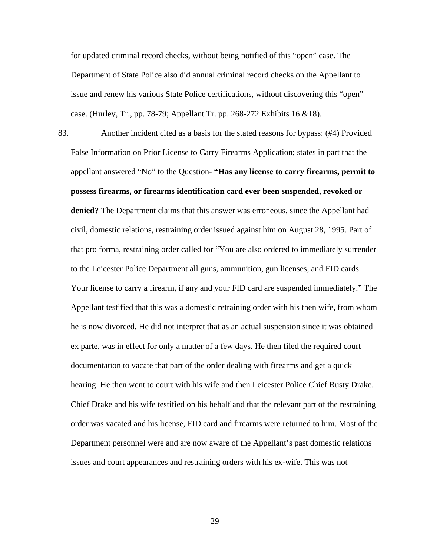for updated criminal record checks, without being notified of this "open" case. The Department of State Police also did annual criminal record checks on the Appellant to issue and renew his various State Police certifications, without discovering this "open" case. (Hurley, Tr., pp. 78-79; Appellant Tr. pp. 268-272 Exhibits 16 &18).

83. Another incident cited as a basis for the stated reasons for bypass: (#4) Provided False Information on Prior License to Carry Firearms Application; states in part that the appellant answered "No" to the Question- **"Has any license to carry firearms, permit to possess firearms, or firearms identification card ever been suspended, revoked or denied?** The Department claims that this answer was erroneous, since the Appellant had civil, domestic relations, restraining order issued against him on August 28, 1995. Part of that pro forma, restraining order called for "You are also ordered to immediately surrender to the Leicester Police Department all guns, ammunition, gun licenses, and FID cards. Your license to carry a firearm, if any and your FID card are suspended immediately." The Appellant testified that this was a domestic retraining order with his then wife, from whom he is now divorced. He did not interpret that as an actual suspension since it was obtained ex parte, was in effect for only a matter of a few days. He then filed the required court documentation to vacate that part of the order dealing with firearms and get a quick hearing. He then went to court with his wife and then Leicester Police Chief Rusty Drake. Chief Drake and his wife testified on his behalf and that the relevant part of the restraining order was vacated and his license, FID card and firearms were returned to him. Most of the Department personnel were and are now aware of the Appellant's past domestic relations issues and court appearances and restraining orders with his ex-wife. This was not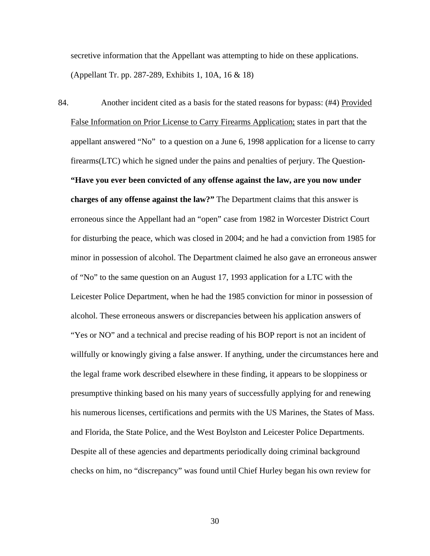secretive information that the Appellant was attempting to hide on these applications. (Appellant Tr. pp. 287-289, Exhibits 1, 10A, 16 & 18)

84. Another incident cited as a basis for the stated reasons for bypass: (#4) Provided False Information on Prior License to Carry Firearms Application; states in part that the appellant answered "No" to a question on a June 6, 1998 application for a license to carry firearms(LTC) which he signed under the pains and penalties of perjury. The Question**- "Have you ever been convicted of any offense against the law, are you now under charges of any offense against the law?"** The Department claims that this answer is erroneous since the Appellant had an "open" case from 1982 in Worcester District Court for disturbing the peace, which was closed in 2004; and he had a conviction from 1985 for minor in possession of alcohol. The Department claimed he also gave an erroneous answer of "No" to the same question on an August 17, 1993 application for a LTC with the Leicester Police Department, when he had the 1985 conviction for minor in possession of alcohol. These erroneous answers or discrepancies between his application answers of "Yes or NO" and a technical and precise reading of his BOP report is not an incident of willfully or knowingly giving a false answer. If anything, under the circumstances here and the legal frame work described elsewhere in these finding, it appears to be sloppiness or presumptive thinking based on his many years of successfully applying for and renewing his numerous licenses, certifications and permits with the US Marines, the States of Mass. and Florida, the State Police, and the West Boylston and Leicester Police Departments. Despite all of these agencies and departments periodically doing criminal background checks on him, no "discrepancy" was found until Chief Hurley began his own review for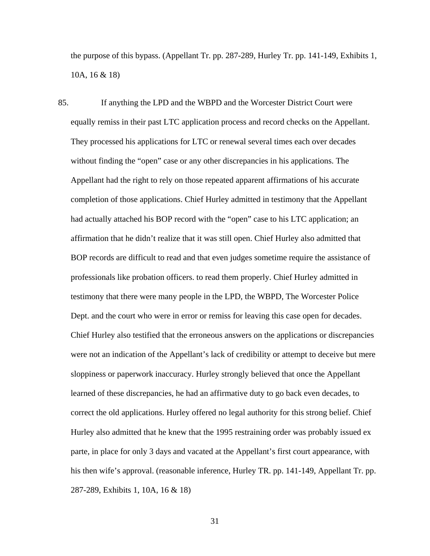the purpose of this bypass. (Appellant Tr. pp. 287-289, Hurley Tr. pp. 141-149, Exhibits 1, 10A, 16 & 18)

85. If anything the LPD and the WBPD and the Worcester District Court were equally remiss in their past LTC application process and record checks on the Appellant. They processed his applications for LTC or renewal several times each over decades without finding the "open" case or any other discrepancies in his applications. The Appellant had the right to rely on those repeated apparent affirmations of his accurate completion of those applications. Chief Hurley admitted in testimony that the Appellant had actually attached his BOP record with the "open" case to his LTC application; an affirmation that he didn't realize that it was still open. Chief Hurley also admitted that BOP records are difficult to read and that even judges sometime require the assistance of professionals like probation officers. to read them properly. Chief Hurley admitted in testimony that there were many people in the LPD, the WBPD, The Worcester Police Dept. and the court who were in error or remiss for leaving this case open for decades. Chief Hurley also testified that the erroneous answers on the applications or discrepancies were not an indication of the Appellant's lack of credibility or attempt to deceive but mere sloppiness or paperwork inaccuracy. Hurley strongly believed that once the Appellant learned of these discrepancies, he had an affirmative duty to go back even decades, to correct the old applications. Hurley offered no legal authority for this strong belief. Chief Hurley also admitted that he knew that the 1995 restraining order was probably issued ex parte, in place for only 3 days and vacated at the Appellant's first court appearance, with his then wife's approval. (reasonable inference, Hurley TR. pp. 141-149, Appellant Tr. pp. 287-289, Exhibits 1, 10A, 16 & 18)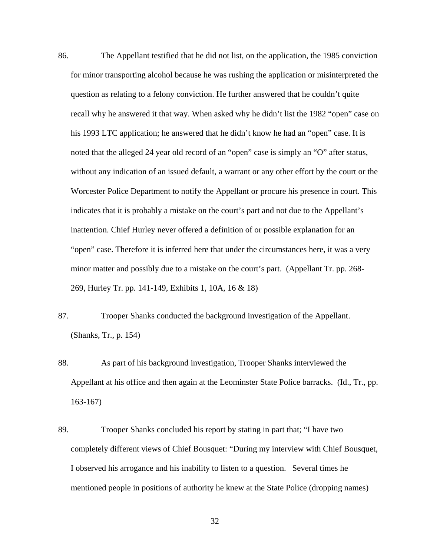- 86. The Appellant testified that he did not list, on the application, the 1985 conviction for minor transporting alcohol because he was rushing the application or misinterpreted the question as relating to a felony conviction. He further answered that he couldn't quite recall why he answered it that way. When asked why he didn't list the 1982 "open" case on his 1993 LTC application; he answered that he didn't know he had an "open" case. It is noted that the alleged 24 year old record of an "open" case is simply an "O" after status, without any indication of an issued default, a warrant or any other effort by the court or the Worcester Police Department to notify the Appellant or procure his presence in court. This indicates that it is probably a mistake on the court's part and not due to the Appellant's inattention. Chief Hurley never offered a definition of or possible explanation for an "open" case. Therefore it is inferred here that under the circumstances here, it was a very minor matter and possibly due to a mistake on the court's part. (Appellant Tr. pp. 268- 269, Hurley Tr. pp. 141-149, Exhibits 1, 10A, 16 & 18)
- 87. Trooper Shanks conducted the background investigation of the Appellant. (Shanks, Tr., p. 154)
- 88. As part of his background investigation, Trooper Shanks interviewed the Appellant at his office and then again at the Leominster State Police barracks. (Id., Tr., pp. 163-167)
- 89. Trooper Shanks concluded his report by stating in part that; "I have two completely different views of Chief Bousquet: "During my interview with Chief Bousquet, I observed his arrogance and his inability to listen to a question. Several times he mentioned people in positions of authority he knew at the State Police (dropping names)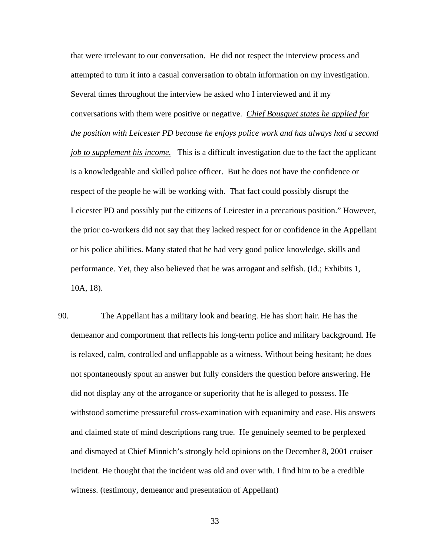that were irrelevant to our conversation. He did not respect the interview process and attempted to turn it into a casual conversation to obtain information on my investigation. Several times throughout the interview he asked who I interviewed and if my conversations with them were positive or negative. *Chief Bousquet states he applied for the position with Leicester PD because he enjoys police work and has always had a second job to supplement his income.* This is a difficult investigation due to the fact the applicant is a knowledgeable and skilled police officer. But he does not have the confidence or respect of the people he will be working with. That fact could possibly disrupt the Leicester PD and possibly put the citizens of Leicester in a precarious position." However, the prior co-workers did not say that they lacked respect for or confidence in the Appellant or his police abilities. Many stated that he had very good police knowledge, skills and performance. Yet, they also believed that he was arrogant and selfish. (Id.; Exhibits 1, 10A, 18).

90. The Appellant has a military look and bearing. He has short hair. He has the demeanor and comportment that reflects his long-term police and military background. He is relaxed, calm, controlled and unflappable as a witness. Without being hesitant; he does not spontaneously spout an answer but fully considers the question before answering. He did not display any of the arrogance or superiority that he is alleged to possess. He withstood sometime pressureful cross-examination with equanimity and ease. His answers and claimed state of mind descriptions rang true. He genuinely seemed to be perplexed and dismayed at Chief Minnich's strongly held opinions on the December 8, 2001 cruiser incident. He thought that the incident was old and over with. I find him to be a credible witness. (testimony, demeanor and presentation of Appellant)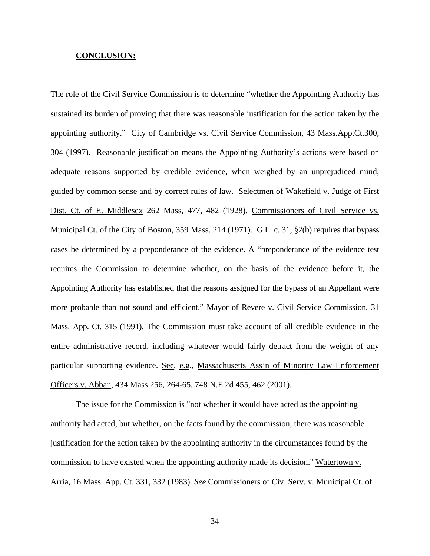#### **CONCLUSION:**

The role of the Civil Service Commission is to determine "whether the Appointing Authority has sustained its burden of proving that there was reasonable justification for the action taken by the appointing authority." City of Cambridge vs. Civil Service Commission, 43 Mass.App.Ct.300, 304 (1997). Reasonable justification means the Appointing Authority's actions were based on adequate reasons supported by credible evidence, when weighed by an unprejudiced mind, guided by common sense and by correct rules of law. Selectmen of Wakefield v. Judge of First Dist. Ct. of E. Middlesex 262 Mass, 477, 482 (1928). Commissioners of Civil Service vs. Municipal Ct. of the City of Boston, 359 Mass. 214 (1971). G.L. c. 31, §2(b) requires that bypass cases be determined by a preponderance of the evidence. A "preponderance of the evidence test requires the Commission to determine whether, on the basis of the evidence before it, the Appointing Authority has established that the reasons assigned for the bypass of an Appellant were more probable than not sound and efficient." Mayor of Revere v. Civil Service Commission, 31 Mass. App. Ct. 315 (1991). The Commission must take account of all credible evidence in the entire administrative record, including whatever would fairly detract from the weight of any particular supporting evidence. See, e.g., Massachusetts Ass'n of Minority Law Enforcement Officers v. Abban, 434 Mass 256, 264-65, 748 N.E.2d 455, 462 (2001).

The issue for the Commission is "not whether it would have acted as the appointing authority had acted, but whether, on the facts found by the commission, there was reasonable justification for the action taken by the appointing authority in the circumstances found by the commission to have existed when the appointing authority made its decision." Watertown v. Arria*,* 16 Mass. App. Ct. 331, 332 (1983). *See* Commissioners of Civ. Serv. v. Municipal Ct. of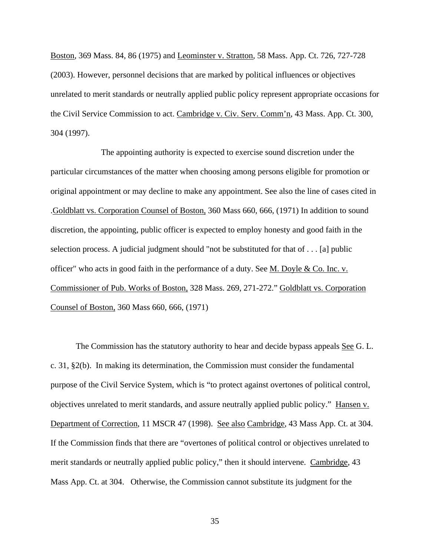Boston*,* 369 Mass. 84, 86 (1975) and Leominster v. Stratton*,* 58 Mass. App. Ct. 726, 727-728 (2003). However, personnel decisions that are marked by political influences or objectives unrelated to merit standards or neutrally applied public policy represent appropriate occasions for the Civil Service Commission to act. Cambridge v. Civ. Serv. Comm'n, 43 Mass. App. Ct. 300, 304 (1997).

 The appointing authority is expected to exercise sound discretion under the particular circumstances of the matter when choosing among persons eligible for promotion or original appointment or may decline to make any appointment. See also the line of cases cited in .Goldblatt vs. Corporation Counsel of Boston, 360 Mass 660, 666, (1971) In addition to sound discretion, the appointing, public officer is expected to employ honesty and good faith in the selection process. A judicial judgment should "not be substituted for that of . . . [a] public officer" who acts in good faith in the performance of a duty. See M. Doyle & Co. Inc. v. Commissioner of Pub. Works of Boston, 328 Mass. 269, 271-272." Goldblatt vs. Corporation Counsel of Boston, 360 Mass 660, 666, (1971)

The Commission has the statutory authority to hear and decide bypass appeals See G. L. c. 31, §2(b). In making its determination, the Commission must consider the fundamental purpose of the Civil Service System, which is "to protect against overtones of political control, objectives unrelated to merit standards, and assure neutrally applied public policy." Hansen v. Department of Correction, 11 MSCR 47 (1998). See also Cambridge, 43 Mass App. Ct. at 304. If the Commission finds that there are "overtones of political control or objectives unrelated to merit standards or neutrally applied public policy," then it should intervene. Cambridge, 43 Mass App. Ct. at 304. Otherwise, the Commission cannot substitute its judgment for the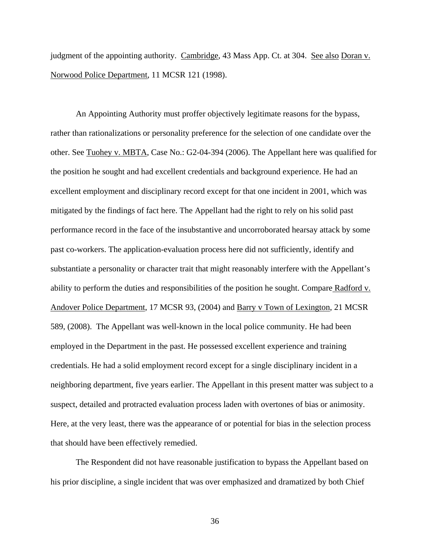judgment of the appointing authority. Cambridge, 43 Mass App. Ct. at 304. See also Doran v. Norwood Police Department, 11 MCSR 121 (1998).

An Appointing Authority must proffer objectively legitimate reasons for the bypass, rather than rationalizations or personality preference for the selection of one candidate over the other. See Tuohey v. MBTA, Case No.: G2-04-394 (2006). The Appellant here was qualified for the position he sought and had excellent credentials and background experience. He had an excellent employment and disciplinary record except for that one incident in 2001, which was mitigated by the findings of fact here. The Appellant had the right to rely on his solid past performance record in the face of the insubstantive and uncorroborated hearsay attack by some past co-workers. The application-evaluation process here did not sufficiently, identify and substantiate a personality or character trait that might reasonably interfere with the Appellant's ability to perform the duties and responsibilities of the position he sought. Compare Radford v. Andover Police Department, 17 MCSR 93, (2004) and Barry v Town of Lexington, 21 MCSR 589, (2008). The Appellant was well-known in the local police community. He had been employed in the Department in the past. He possessed excellent experience and training credentials. He had a solid employment record except for a single disciplinary incident in a neighboring department, five years earlier. The Appellant in this present matter was subject to a suspect, detailed and protracted evaluation process laden with overtones of bias or animosity. Here, at the very least, there was the appearance of or potential for bias in the selection process that should have been effectively remedied.

The Respondent did not have reasonable justification to bypass the Appellant based on his prior discipline, a single incident that was over emphasized and dramatized by both Chief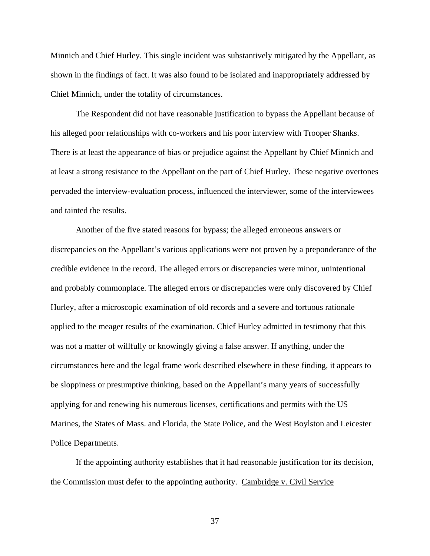Minnich and Chief Hurley. This single incident was substantively mitigated by the Appellant, as shown in the findings of fact. It was also found to be isolated and inappropriately addressed by Chief Minnich, under the totality of circumstances.

The Respondent did not have reasonable justification to bypass the Appellant because of his alleged poor relationships with co-workers and his poor interview with Trooper Shanks. There is at least the appearance of bias or prejudice against the Appellant by Chief Minnich and at least a strong resistance to the Appellant on the part of Chief Hurley. These negative overtones pervaded the interview-evaluation process, influenced the interviewer, some of the interviewees and tainted the results.

Another of the five stated reasons for bypass; the alleged erroneous answers or discrepancies on the Appellant's various applications were not proven by a preponderance of the credible evidence in the record. The alleged errors or discrepancies were minor, unintentional and probably commonplace. The alleged errors or discrepancies were only discovered by Chief Hurley, after a microscopic examination of old records and a severe and tortuous rationale applied to the meager results of the examination. Chief Hurley admitted in testimony that this was not a matter of willfully or knowingly giving a false answer. If anything, under the circumstances here and the legal frame work described elsewhere in these finding, it appears to be sloppiness or presumptive thinking, based on the Appellant's many years of successfully applying for and renewing his numerous licenses, certifications and permits with the US Marines, the States of Mass. and Florida, the State Police, and the West Boylston and Leicester Police Departments.

If the appointing authority establishes that it had reasonable justification for its decision, the Commission must defer to the appointing authority. Cambridge v. Civil Service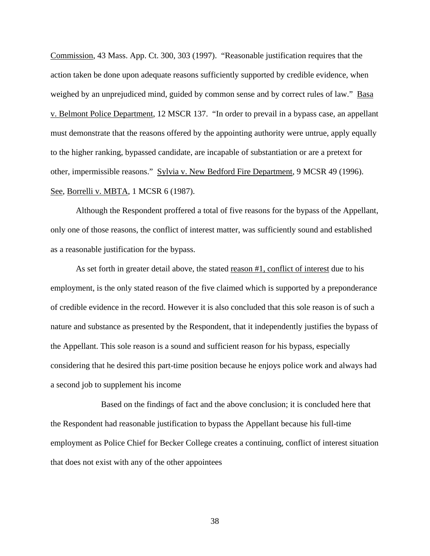Commission, 43 Mass. App. Ct. 300, 303 (1997). "Reasonable justification requires that the action taken be done upon adequate reasons sufficiently supported by credible evidence, when weighed by an unprejudiced mind, guided by common sense and by correct rules of law." Basa v. Belmont Police Department, 12 MSCR 137. "In order to prevail in a bypass case, an appellant must demonstrate that the reasons offered by the appointing authority were untrue, apply equally to the higher ranking, bypassed candidate, are incapable of substantiation or are a pretext for other, impermissible reasons." Sylvia v. New Bedford Fire Department, 9 MCSR 49 (1996). See, Borrelli v. MBTA, 1 MCSR 6 (1987).

Although the Respondent proffered a total of five reasons for the bypass of the Appellant, only one of those reasons, the conflict of interest matter, was sufficiently sound and established as a reasonable justification for the bypass.

As set forth in greater detail above, the stated reason #1, conflict of interest due to his employment, is the only stated reason of the five claimed which is supported by a preponderance of credible evidence in the record. However it is also concluded that this sole reason is of such a nature and substance as presented by the Respondent, that it independently justifies the bypass of the Appellant. This sole reason is a sound and sufficient reason for his bypass, especially considering that he desired this part-time position because he enjoys police work and always had a second job to supplement his income

 Based on the findings of fact and the above conclusion; it is concluded here that the Respondent had reasonable justification to bypass the Appellant because his full-time employment as Police Chief for Becker College creates a continuing, conflict of interest situation that does not exist with any of the other appointees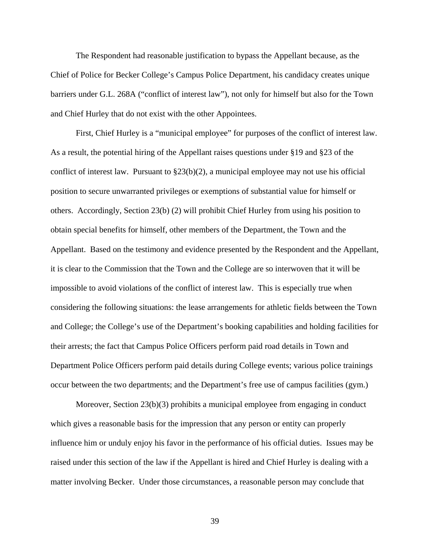The Respondent had reasonable justification to bypass the Appellant because, as the Chief of Police for Becker College's Campus Police Department, his candidacy creates unique barriers under G.L. 268A ("conflict of interest law"), not only for himself but also for the Town and Chief Hurley that do not exist with the other Appointees.

First, Chief Hurley is a "municipal employee" for purposes of the conflict of interest law. As a result, the potential hiring of the Appellant raises questions under §19 and §23 of the conflict of interest law. Pursuant to  $\S 23(b)(2)$ , a municipal employee may not use his official position to secure unwarranted privileges or exemptions of substantial value for himself or others. Accordingly, Section 23(b) (2) will prohibit Chief Hurley from using his position to obtain special benefits for himself, other members of the Department, the Town and the Appellant. Based on the testimony and evidence presented by the Respondent and the Appellant, it is clear to the Commission that the Town and the College are so interwoven that it will be impossible to avoid violations of the conflict of interest law. This is especially true when considering the following situations: the lease arrangements for athletic fields between the Town and College; the College's use of the Department's booking capabilities and holding facilities for their arrests; the fact that Campus Police Officers perform paid road details in Town and Department Police Officers perform paid details during College events; various police trainings occur between the two departments; and the Department's free use of campus facilities (gym.)

Moreover, Section 23(b)(3) prohibits a municipal employee from engaging in conduct which gives a reasonable basis for the impression that any person or entity can properly influence him or unduly enjoy his favor in the performance of his official duties. Issues may be raised under this section of the law if the Appellant is hired and Chief Hurley is dealing with a matter involving Becker. Under those circumstances, a reasonable person may conclude that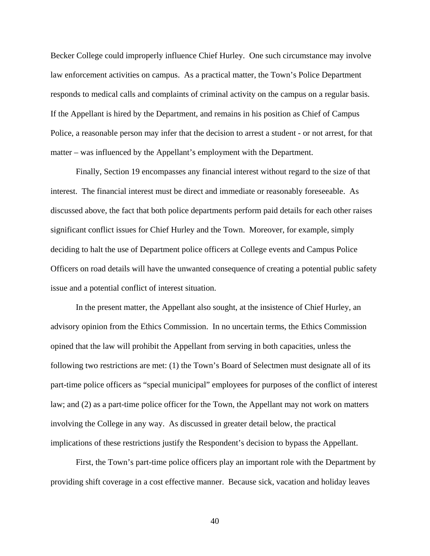Becker College could improperly influence Chief Hurley. One such circumstance may involve law enforcement activities on campus. As a practical matter, the Town's Police Department responds to medical calls and complaints of criminal activity on the campus on a regular basis. If the Appellant is hired by the Department, and remains in his position as Chief of Campus Police, a reasonable person may infer that the decision to arrest a student - or not arrest, for that matter – was influenced by the Appellant's employment with the Department.

Finally, Section 19 encompasses any financial interest without regard to the size of that interest. The financial interest must be direct and immediate or reasonably foreseeable. As discussed above, the fact that both police departments perform paid details for each other raises significant conflict issues for Chief Hurley and the Town. Moreover, for example, simply deciding to halt the use of Department police officers at College events and Campus Police Officers on road details will have the unwanted consequence of creating a potential public safety issue and a potential conflict of interest situation.

In the present matter, the Appellant also sought, at the insistence of Chief Hurley, an advisory opinion from the Ethics Commission. In no uncertain terms, the Ethics Commission opined that the law will prohibit the Appellant from serving in both capacities, unless the following two restrictions are met: (1) the Town's Board of Selectmen must designate all of its part-time police officers as "special municipal" employees for purposes of the conflict of interest law; and (2) as a part-time police officer for the Town, the Appellant may not work on matters involving the College in any way. As discussed in greater detail below, the practical implications of these restrictions justify the Respondent's decision to bypass the Appellant.

First, the Town's part-time police officers play an important role with the Department by providing shift coverage in a cost effective manner. Because sick, vacation and holiday leaves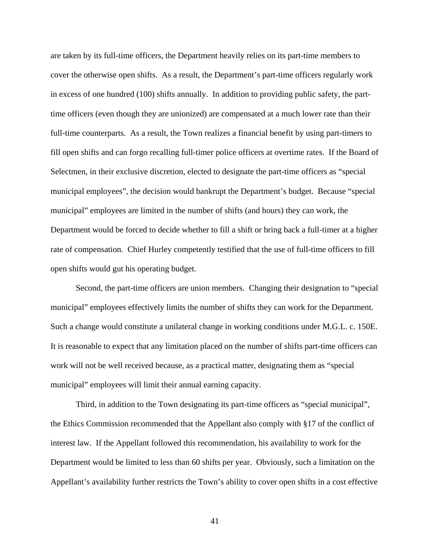are taken by its full-time officers, the Department heavily relies on its part-time members to cover the otherwise open shifts. As a result, the Department's part-time officers regularly work in excess of one hundred (100) shifts annually. In addition to providing public safety, the parttime officers (even though they are unionized) are compensated at a much lower rate than their full-time counterparts. As a result, the Town realizes a financial benefit by using part-timers to fill open shifts and can forgo recalling full-timer police officers at overtime rates. If the Board of Selectmen, in their exclusive discretion, elected to designate the part-time officers as "special municipal employees", the decision would bankrupt the Department's budget. Because "special municipal" employees are limited in the number of shifts (and hours) they can work, the Department would be forced to decide whether to fill a shift or bring back a full-timer at a higher rate of compensation. Chief Hurley competently testified that the use of full-time officers to fill open shifts would gut his operating budget.

Second, the part-time officers are union members. Changing their designation to "special municipal" employees effectively limits the number of shifts they can work for the Department. Such a change would constitute a unilateral change in working conditions under M.G.L. c. 150E. It is reasonable to expect that any limitation placed on the number of shifts part-time officers can work will not be well received because, as a practical matter, designating them as "special municipal" employees will limit their annual earning capacity.

Third, in addition to the Town designating its part-time officers as "special municipal", the Ethics Commission recommended that the Appellant also comply with §17 of the conflict of interest law. If the Appellant followed this recommendation, his availability to work for the Department would be limited to less than 60 shifts per year. Obviously, such a limitation on the Appellant's availability further restricts the Town's ability to cover open shifts in a cost effective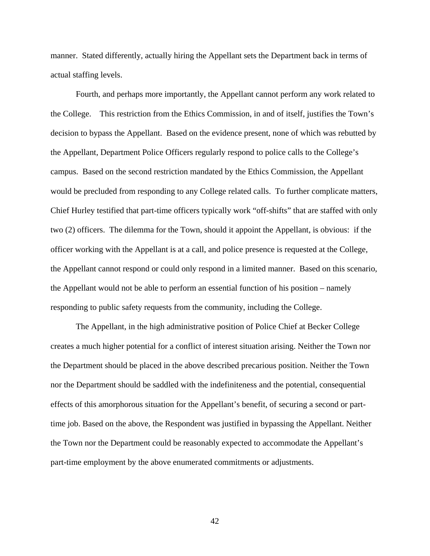manner. Stated differently, actually hiring the Appellant sets the Department back in terms of actual staffing levels.

Fourth, and perhaps more importantly, the Appellant cannot perform any work related to the College. This restriction from the Ethics Commission, in and of itself, justifies the Town's decision to bypass the Appellant. Based on the evidence present, none of which was rebutted by the Appellant, Department Police Officers regularly respond to police calls to the College's campus. Based on the second restriction mandated by the Ethics Commission, the Appellant would be precluded from responding to any College related calls. To further complicate matters, Chief Hurley testified that part-time officers typically work "off-shifts" that are staffed with only two (2) officers. The dilemma for the Town, should it appoint the Appellant, is obvious: if the officer working with the Appellant is at a call, and police presence is requested at the College, the Appellant cannot respond or could only respond in a limited manner. Based on this scenario, the Appellant would not be able to perform an essential function of his position – namely responding to public safety requests from the community, including the College.

The Appellant, in the high administrative position of Police Chief at Becker College creates a much higher potential for a conflict of interest situation arising. Neither the Town nor the Department should be placed in the above described precarious position. Neither the Town nor the Department should be saddled with the indefiniteness and the potential, consequential effects of this amorphorous situation for the Appellant's benefit, of securing a second or parttime job. Based on the above, the Respondent was justified in bypassing the Appellant. Neither the Town nor the Department could be reasonably expected to accommodate the Appellant's part-time employment by the above enumerated commitments or adjustments.